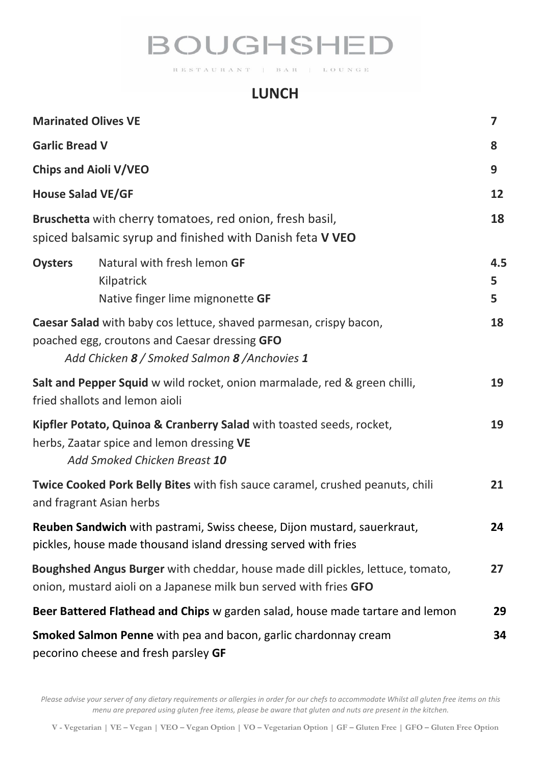# **BOUGHSHED**

RESTAURANT BAR | LOUNGE

### **LUNCH**

| <b>Marinated Olives VE</b>                                                                                                                                                  |                                                                               | 7             |
|-----------------------------------------------------------------------------------------------------------------------------------------------------------------------------|-------------------------------------------------------------------------------|---------------|
| <b>Garlic Bread V</b>                                                                                                                                                       |                                                                               | 8             |
| <b>Chips and Aioli V/VEO</b>                                                                                                                                                |                                                                               | 9             |
| <b>House Salad VE/GF</b>                                                                                                                                                    |                                                                               | 12            |
| Bruschetta with cherry tomatoes, red onion, fresh basil,<br>spiced balsamic syrup and finished with Danish feta V VEO                                                       |                                                                               | 18            |
| <b>Oysters</b>                                                                                                                                                              | Natural with fresh lemon GF<br>Kilpatrick<br>Native finger lime mignonette GF | 4.5<br>5<br>5 |
| <b>Caesar Salad</b> with baby cos lettuce, shaved parmesan, crispy bacon,<br>poached egg, croutons and Caesar dressing GFO<br>Add Chicken 8 / Smoked Salmon 8 / Anchovies 1 |                                                                               | 18            |
| Salt and Pepper Squid w wild rocket, onion marmalade, red & green chilli,<br>fried shallots and lemon aioli                                                                 |                                                                               | 19            |
| Kipfler Potato, Quinoa & Cranberry Salad with toasted seeds, rocket,<br>herbs, Zaatar spice and lemon dressing VE<br>Add Smoked Chicken Breast 10                           |                                                                               | 19            |
| <b>Twice Cooked Pork Belly Bites</b> with fish sauce caramel, crushed peanuts, chili<br>and fragrant Asian herbs                                                            |                                                                               | 21            |
| <b>Reuben Sandwich</b> with pastrami, Swiss cheese, Dijon mustard, sauerkraut,<br>pickles, house made thousand island dressing served with fries                            |                                                                               | 24            |
| Boughshed Angus Burger with cheddar, house made dill pickles, lettuce, tomato,<br>onion, mustard aioli on a Japanese milk bun served with fries GFO                         |                                                                               | 27            |
| Beer Battered Flathead and Chips w garden salad, house made tartare and lemon                                                                                               |                                                                               | 29            |
| Smoked Salmon Penne with pea and bacon, garlic chardonnay cream<br>pecorino cheese and fresh parsley GF                                                                     |                                                                               | 34            |

*Please advise your server of any dietary requirements or allergies in order for our chefs to accommodate Whilst all gluten free items on this menu are prepared using gluten free items, please be aware that gluten and nuts are present in the kitchen.*